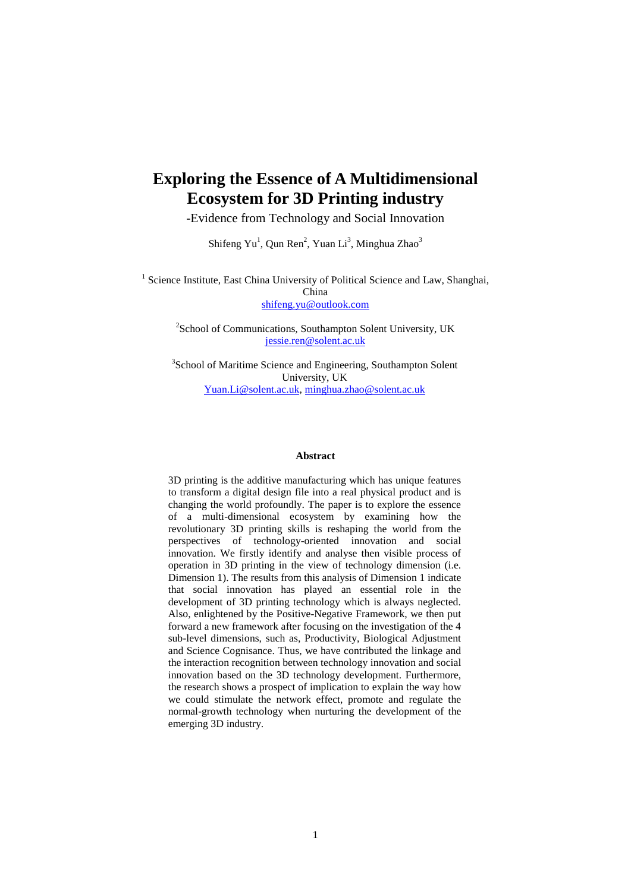# **Exploring the Essence of A Multidimensional Ecosystem for 3D Printing industry**

-Evidence from Technology and Social Innovation

Shifeng  $Yu^1$ , Qun Ren<sup>2</sup>, Yuan Li<sup>3</sup>, Minghua Zhao<sup>3</sup>

<sup>1</sup> Science Institute, East China University of Political Science and Law, Shanghai, China [shifeng.yu@outlook.com](mailto:shifeng.yu@outlook.com)

> <sup>2</sup>School of Communications, Southampton Solent University, UK [jessie.ren@solent.ac.uk](mailto:jessie.ren@solent.ac.uk)

<sup>3</sup>School of Maritime Science and Engineering, Southampton Solent University, UK [Yuan.Li@solent.ac.uk,](mailto:Yuan.Li@solent.ac.uk) [minghua.zhao@solent.ac.uk](mailto:minghua.zhao@solent.ac.uk)

### **Abstract**

3D printing is the additive manufacturing which has unique features to transform a digital design file into a real physical product and is changing the world profoundly. The paper is to explore the essence of a multi-dimensional ecosystem by examining how the revolutionary 3D printing skills is reshaping the world from the perspectives of technology-oriented innovation and social innovation. We firstly identify and analyse then visible process of operation in 3D printing in the view of technology dimension (i.e. Dimension 1). The results from this analysis of Dimension 1 indicate that social innovation has played an essential role in the development of 3D printing technology which is always neglected. Also, enlightened by the Positive-Negative Framework, we then put forward a new framework after focusing on the investigation of the 4 sub-level dimensions, such as, Productivity, Biological Adjustment and Science Cognisance. Thus, we have contributed the linkage and the interaction recognition between technology innovation and social innovation based on the 3D technology development. Furthermore, the research shows a prospect of implication to explain the way how we could stimulate the network effect, promote and regulate the normal-growth technology when nurturing the development of the emerging 3D industry.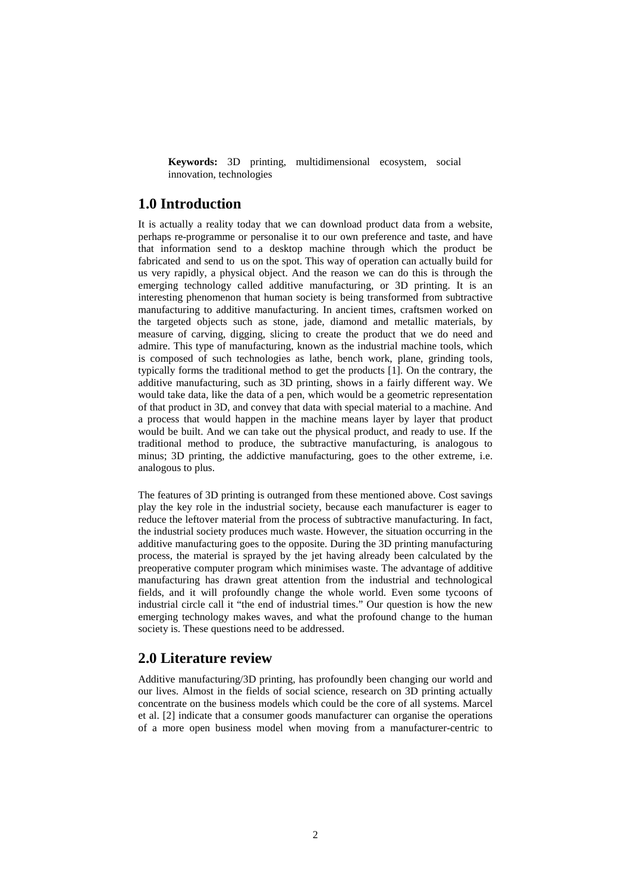**Keywords:** 3D printing, multidimensional ecosystem, social innovation, technologies

# **1.0 Introduction**

It is actually a reality today that we can download product data from a website, perhaps re-programme or personalise it to our own preference and taste, and have that information send to a desktop machine through which the product be fabricated and send to us on the spot. This way of operation can actually build for us very rapidly, a physical object. And the reason we can do this is through the emerging technology called additive manufacturing, or 3D printing. It is an interesting phenomenon that human society is being transformed from subtractive manufacturing to additive manufacturing. In ancient times, craftsmen worked on the targeted objects such as stone, jade, diamond and metallic materials, by measure of carving, digging, slicing to create the product that we do need and admire. This type of manufacturing, known as the industrial machine tools, which is composed of such technologies as lathe, bench work, plane, grinding tools, typically forms the traditional method to get the products [1]. On the contrary, the additive manufacturing, such as 3D printing, shows in a fairly different way. We would take data, like the data of a pen, which would be a geometric representation of that product in 3D, and convey that data with special material to a machine. And a process that would happen in the machine means layer by layer that product would be built. And we can take out the physical product, and ready to use. If the traditional method to produce, the subtractive manufacturing, is analogous to minus; 3D printing, the addictive manufacturing, goes to the other extreme, i.e. analogous to plus.

The features of 3D printing is outranged from these mentioned above. Cost savings play the key role in the industrial society, because each manufacturer is eager to reduce the leftover material from the process of subtractive manufacturing. In fact, the industrial society produces much waste. However, the situation occurring in the additive manufacturing goes to the opposite. During the 3D printing manufacturing process, the material is sprayed by the jet having already been calculated by the preoperative computer program which minimises waste. The advantage of additive manufacturing has drawn great attention from the industrial and technological fields, and it will profoundly change the whole world. Even some tycoons of industrial circle call it "the end of industrial times." Our question is how the new emerging technology makes waves, and what the profound change to the human society is. These questions need to be addressed.

# **2.0 Literature review**

Additive manufacturing/3D printing, has profoundly been changing our world and our lives. Almost in the fields of social science, research on 3D printing actually concentrate on the business models which could be the core of all systems. Marcel et al. [2] indicate that a consumer goods manufacturer can organise the operations of a more open business model when moving from a manufacturer-centric to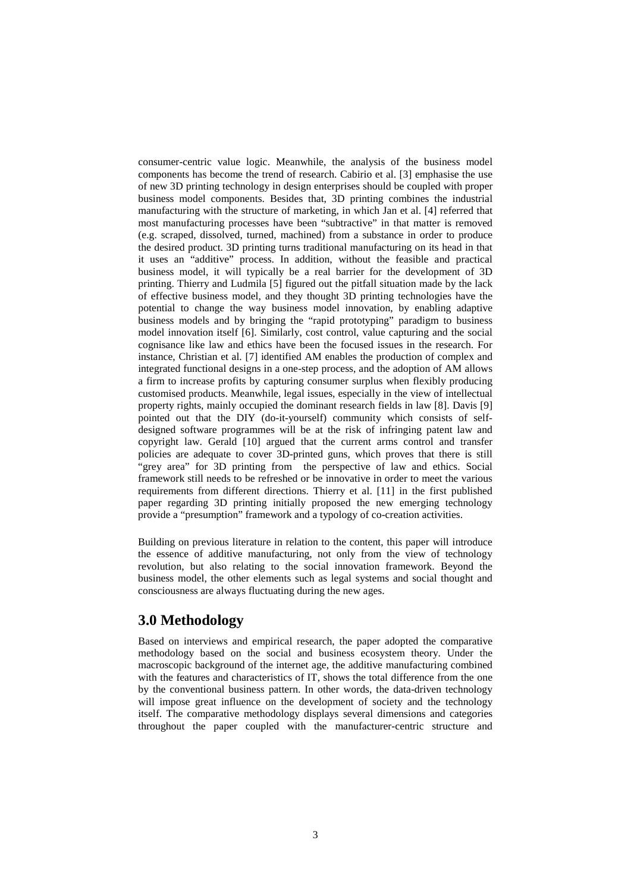consumer-centric value logic. Meanwhile, the analysis of the business model components has become the trend of research. Cabirio et al. [3] emphasise the use of new 3D printing technology in design enterprises should be coupled with proper business model components. Besides that, 3D printing combines the industrial manufacturing with the structure of marketing, in which Jan et al. [4] referred that most manufacturing processes have been "subtractive" in that matter is removed (e.g. scraped, dissolved, turned, machined) from a substance in order to produce the desired product. 3D printing turns traditional manufacturing on its head in that it uses an "additive" process. In addition, without the feasible and practical business model, it will typically be a real barrier for the development of 3D printing. Thierry and Ludmila [5] figured out the pitfall situation made by the lack of effective business model, and they thought 3D printing technologies have the potential to change the way business model innovation, by enabling adaptive business models and by bringing the "rapid prototyping" paradigm to business model innovation itself [6]. Similarly, cost control, value capturing and the social cognisance like law and ethics have been the focused issues in the research. For instance, Christian et al. [7] identified AM enables the production of complex and integrated functional designs in a one-step process, and the adoption of AM allows a firm to increase profits by capturing consumer surplus when flexibly producing customised products. Meanwhile, legal issues, especially in the view of intellectual property rights, mainly occupied the dominant research fields in law [8]. Davis [9] pointed out that the DIY (do-it-yourself) community which consists of selfdesigned software programmes will be at the risk of infringing patent law and copyright law. Gerald [10] argued that the current arms control and transfer policies are adequate to cover 3D-printed guns, which proves that there is still "grey area" for 3D printing from the perspective of law and ethics. Social framework still needs to be refreshed or be innovative in order to meet the various requirements from different directions. Thierry et al. [11] in the first published paper regarding 3D printing initially proposed the new emerging technology provide a "presumption" framework and a typology of co-creation activities.

Building on previous literature in relation to the content, this paper will introduce the essence of additive manufacturing, not only from the view of technology revolution, but also relating to the social innovation framework. Beyond the business model, the other elements such as legal systems and social thought and consciousness are always fluctuating during the new ages.

# **3.0 Methodology**

Based on interviews and empirical research, the paper adopted the comparative methodology based on the social and business ecosystem theory. Under the macroscopic background of the internet age, the additive manufacturing combined with the features and characteristics of IT, shows the total difference from the one by the conventional business pattern. In other words, the data-driven technology will impose great influence on the development of society and the technology itself. The comparative methodology displays several dimensions and categories throughout the paper coupled with the manufacturer-centric structure and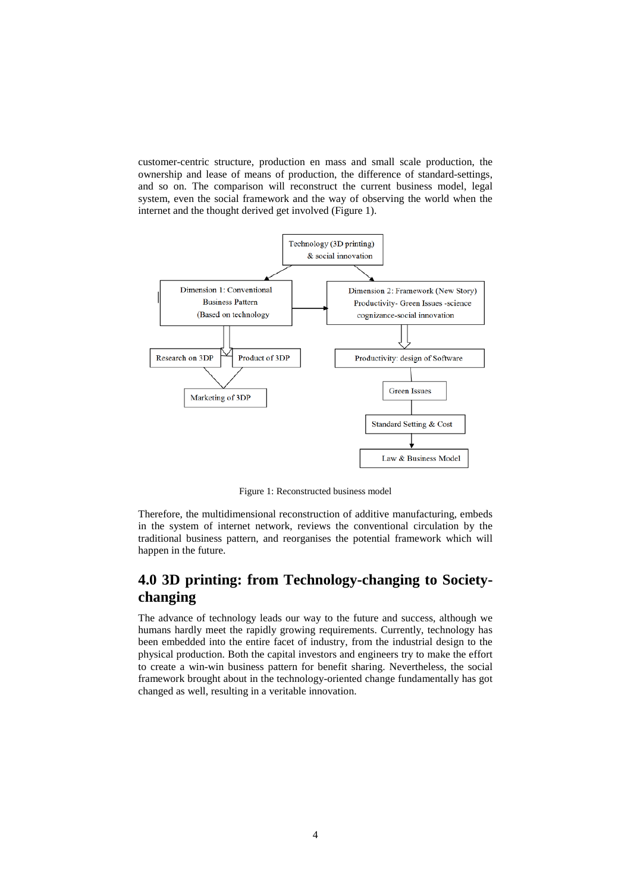customer-centric structure, production en mass and small scale production, the ownership and lease of means of production, the difference of standard-settings, and so on. The comparison will reconstruct the current business model, legal system, even the social framework and the way of observing the world when the internet and the thought derived get involved (Figure 1).



Figure 1: Reconstructed business model

Therefore, the multidimensional reconstruction of additive manufacturing, embeds in the system of internet network, reviews the conventional circulation by the traditional business pattern, and reorganises the potential framework which will happen in the future.

# **4.0 3D printing: from Technology-changing to Societychanging**

The advance of technology leads our way to the future and success, although we humans hardly meet the rapidly growing requirements. Currently, technology has been embedded into the entire facet of industry, from the industrial design to the physical production. Both the capital investors and engineers try to make the effort to create a win-win business pattern for benefit sharing. Nevertheless, the social framework brought about in the technology-oriented change fundamentally has got changed as well, resulting in a veritable innovation.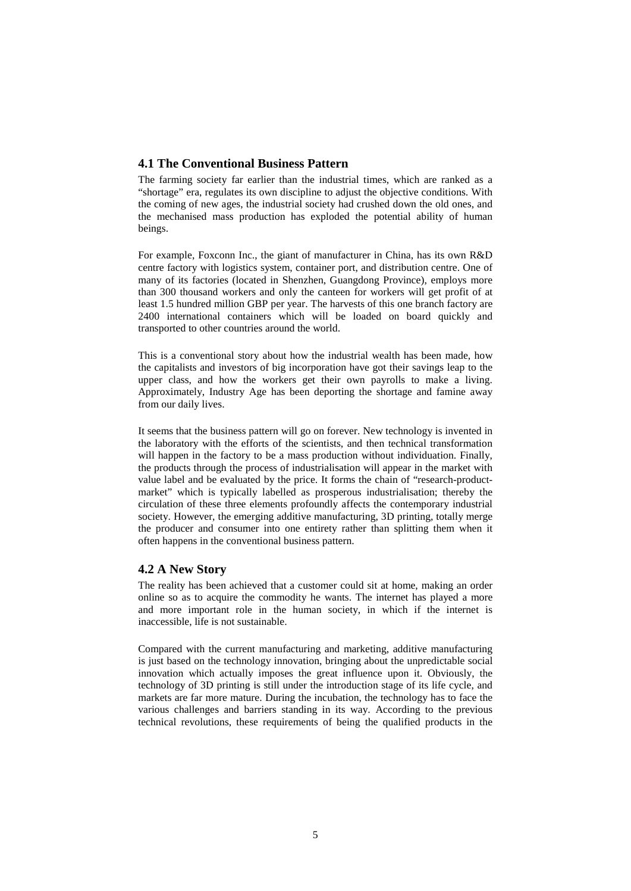## **4.1 The Conventional Business Pattern**

The farming society far earlier than the industrial times, which are ranked as a "shortage" era, regulates its own discipline to adjust the objective conditions. With the coming of new ages, the industrial society had crushed down the old ones, and the mechanised mass production has exploded the potential ability of human beings.

For example, Foxconn Inc., the giant of manufacturer in China, has its own R&D centre factory with logistics system, container port, and distribution centre. One of many of its factories (located in Shenzhen, Guangdong Province), employs more than 300 thousand workers and only the canteen for workers will get profit of at least 1.5 hundred million GBP per year. The harvests of this one branch factory are 2400 international containers which will be loaded on board quickly and transported to other countries around the world.

This is a conventional story about how the industrial wealth has been made, how the capitalists and investors of big incorporation have got their savings leap to the upper class, and how the workers get their own payrolls to make a living. Approximately, Industry Age has been deporting the shortage and famine away from our daily lives.

It seems that the business pattern will go on forever. New technology is invented in the laboratory with the efforts of the scientists, and then technical transformation will happen in the factory to be a mass production without individuation. Finally, the products through the process of industrialisation will appear in the market with value label and be evaluated by the price. It forms the chain of "research-productmarket" which is typically labelled as prosperous industrialisation; thereby the circulation of these three elements profoundly affects the contemporary industrial society. However, the emerging additive manufacturing, 3D printing, totally merge the producer and consumer into one entirety rather than splitting them when it often happens in the conventional business pattern.

## **4.2 A New Story**

The reality has been achieved that a customer could sit at home, making an order online so as to acquire the commodity he wants. The internet has played a more and more important role in the human society, in which if the internet is inaccessible, life is not sustainable.

Compared with the current manufacturing and marketing, additive manufacturing is just based on the technology innovation, bringing about the unpredictable social innovation which actually imposes the great influence upon it. Obviously, the technology of 3D printing is still under the introduction stage of its life cycle, and markets are far more mature. During the incubation, the technology has to face the various challenges and barriers standing in its way. According to the previous technical revolutions, these requirements of being the qualified products in the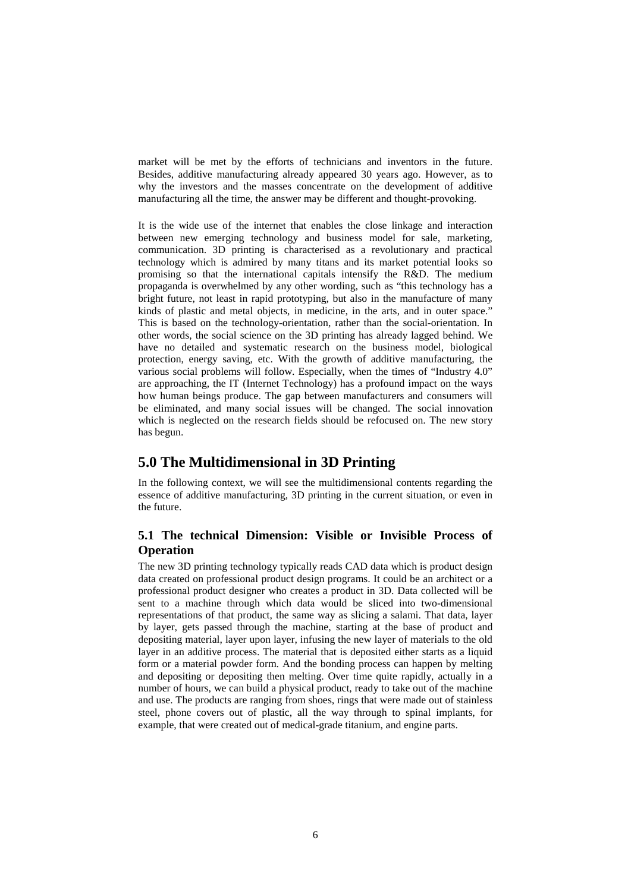market will be met by the efforts of technicians and inventors in the future. Besides, additive manufacturing already appeared 30 years ago. However, as to why the investors and the masses concentrate on the development of additive manufacturing all the time, the answer may be different and thought-provoking.

It is the wide use of the internet that enables the close linkage and interaction between new emerging technology and business model for sale, marketing, communication. 3D printing is characterised as a revolutionary and practical technology which is admired by many titans and its market potential looks so promising so that the international capitals intensify the R&D. The medium propaganda is overwhelmed by any other wording, such as "this technology has a bright future, not least in rapid prototyping, but also in the manufacture of many kinds of plastic and metal objects, in medicine, in the arts, and in outer space." This is based on the technology-orientation, rather than the social-orientation. In other words, the social science on the 3D printing has already lagged behind. We have no detailed and systematic research on the business model, biological protection, energy saving, etc. With the growth of additive manufacturing, the various social problems will follow. Especially, when the times of "Industry 4.0" are approaching, the IT (Internet Technology) has a profound impact on the ways how human beings produce. The gap between manufacturers and consumers will be eliminated, and many social issues will be changed. The social innovation which is neglected on the research fields should be refocused on. The new story has begun.

# **5.0 The Multidimensional in 3D Printing**

In the following context, we will see the multidimensional contents regarding the essence of additive manufacturing, 3D printing in the current situation, or even in the future.

# **5.1 The technical Dimension: Visible or Invisible Process of Operation**

The new 3D printing technology typically reads CAD data which is product design data created on professional product design programs. It could be an architect or a professional product designer who creates a product in 3D. Data collected will be sent to a machine through which data would be sliced into two-dimensional representations of that product, the same way as slicing a salami. That data, layer by layer, gets passed through the machine, starting at the base of product and depositing material, layer upon layer, infusing the new layer of materials to the old layer in an additive process. The material that is deposited either starts as a liquid form or a material powder form. And the bonding process can happen by melting and depositing or depositing then melting. Over time quite rapidly, actually in a number of hours, we can build a physical product, ready to take out of the machine and use. The products are ranging from shoes, rings that were made out of stainless steel, phone covers out of plastic, all the way through to spinal implants, for example, that were created out of medical-grade titanium, and engine parts.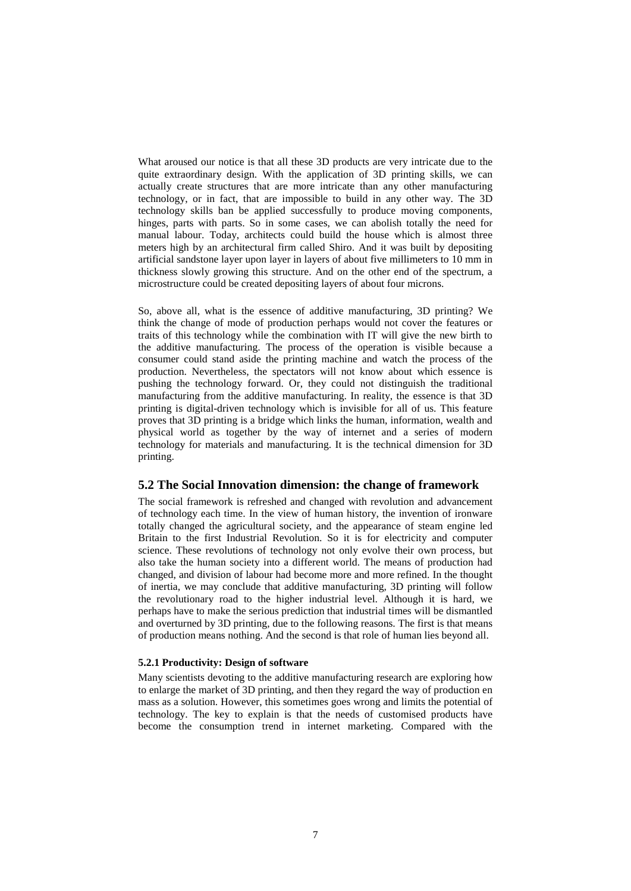What aroused our notice is that all these 3D products are very intricate due to the quite extraordinary design. With the application of 3D printing skills, we can actually create structures that are more intricate than any other manufacturing technology, or in fact, that are impossible to build in any other way. The 3D technology skills ban be applied successfully to produce moving components, hinges, parts with parts. So in some cases, we can abolish totally the need for manual labour. Today, architects could build the house which is almost three meters high by an architectural firm called Shiro. And it was built by depositing artificial sandstone layer upon layer in layers of about five millimeters to 10 mm in thickness slowly growing this structure. And on the other end of the spectrum, a microstructure could be created depositing layers of about four microns.

So, above all, what is the essence of additive manufacturing, 3D printing? We think the change of mode of production perhaps would not cover the features or traits of this technology while the combination with IT will give the new birth to the additive manufacturing. The process of the operation is visible because a consumer could stand aside the printing machine and watch the process of the production. Nevertheless, the spectators will not know about which essence is pushing the technology forward. Or, they could not distinguish the traditional manufacturing from the additive manufacturing. In reality, the essence is that 3D printing is digital-driven technology which is invisible for all of us. This feature proves that 3D printing is a bridge which links the human, information, wealth and physical world as together by the way of internet and a series of modern technology for materials and manufacturing. It is the technical dimension for 3D printing.

## **5.2 The Social Innovation dimension: the change of framework**

The social framework is refreshed and changed with revolution and advancement of technology each time. In the view of human history, the invention of ironware totally changed the agricultural society, and the appearance of steam engine led Britain to the first Industrial Revolution. So it is for electricity and computer science. These revolutions of technology not only evolve their own process, but also take the human society into a different world. The means of production had changed, and division of labour had become more and more refined. In the thought of inertia, we may conclude that additive manufacturing, 3D printing will follow the revolutionary road to the higher industrial level. Although it is hard, we perhaps have to make the serious prediction that industrial times will be dismantled and overturned by 3D printing, due to the following reasons. The first is that means of production means nothing. And the second is that role of human lies beyond all.

#### **5.2.1 Productivity: Design of software**

Many scientists devoting to the additive manufacturing research are exploring how to enlarge the market of 3D printing, and then they regard the way of production en mass as a solution. However, this sometimes goes wrong and limits the potential of technology. The key to explain is that the needs of customised products have become the consumption trend in internet marketing. Compared with the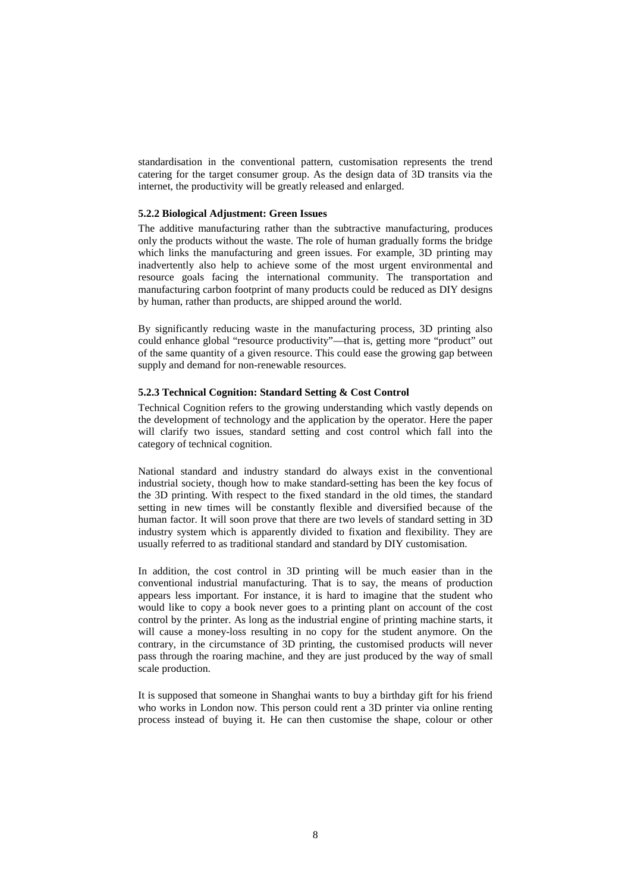standardisation in the conventional pattern, customisation represents the trend catering for the target consumer group. As the design data of 3D transits via the internet, the productivity will be greatly released and enlarged.

### **5.2.2 Biological Adjustment: Green Issues**

The additive manufacturing rather than the subtractive manufacturing, produces only the products without the waste. The role of human gradually forms the bridge which links the manufacturing and green issues. For example, 3D printing may inadvertently also help to achieve some of the most urgent environmental and resource goals facing the international community. The transportation and manufacturing carbon footprint of many products could be reduced as DIY designs by human, rather than products, are shipped around the world.

By significantly reducing waste in the manufacturing process, 3D printing also could enhance global "resource productivity"—that is, getting more "product" out of the same quantity of a given resource. This could ease the growing gap between supply and demand for non-renewable resources.

### **5.2.3 Technical Cognition: Standard Setting & Cost Control**

Technical Cognition refers to the growing understanding which vastly depends on the development of technology and the application by the operator. Here the paper will clarify two issues, standard setting and cost control which fall into the category of technical cognition.

National standard and industry standard do always exist in the conventional industrial society, though how to make standard-setting has been the key focus of the 3D printing. With respect to the fixed standard in the old times, the standard setting in new times will be constantly flexible and diversified because of the human factor. It will soon prove that there are two levels of standard setting in 3D industry system which is apparently divided to fixation and flexibility. They are usually referred to as traditional standard and standard by DIY customisation.

In addition, the cost control in 3D printing will be much easier than in the conventional industrial manufacturing. That is to say, the means of production appears less important. For instance, it is hard to imagine that the student who would like to copy a book never goes to a printing plant on account of the cost control by the printer. As long as the industrial engine of printing machine starts, it will cause a money-loss resulting in no copy for the student anymore. On the contrary, in the circumstance of 3D printing, the customised products will never pass through the roaring machine, and they are just produced by the way of small scale production.

It is supposed that someone in Shanghai wants to buy a birthday gift for his friend who works in London now. This person could rent a 3D printer via online renting process instead of buying it. He can then customise the shape, colour or other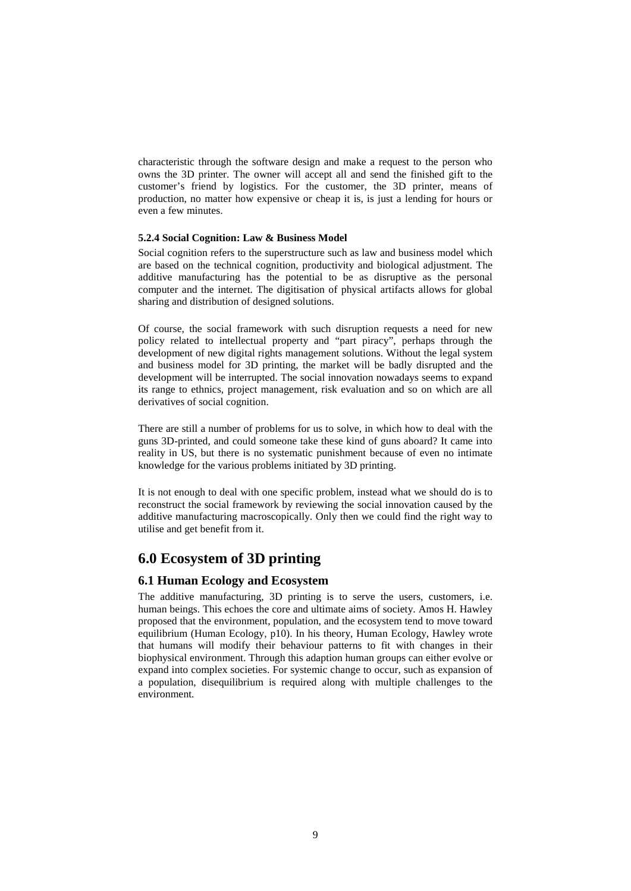characteristic through the software design and make a request to the person who owns the 3D printer. The owner will accept all and send the finished gift to the customer's friend by logistics. For the customer, the 3D printer, means of production, no matter how expensive or cheap it is, is just a lending for hours or even a few minutes.

### **5.2.4 Social Cognition: Law & Business Model**

Social cognition refers to the superstructure such as law and business model which are based on the technical cognition, productivity and biological adjustment. The additive manufacturing has the potential to be as disruptive as the personal computer and the internet. The digitisation of physical artifacts allows for global sharing and distribution of designed solutions.

Of course, the social framework with such disruption requests a need for new policy related to intellectual property and "part piracy", perhaps through the development of new digital rights management solutions. Without the legal system and business model for 3D printing, the market will be badly disrupted and the development will be interrupted. The social innovation nowadays seems to expand its range to ethnics, project management, risk evaluation and so on which are all derivatives of social cognition.

There are still a number of problems for us to solve, in which how to deal with the guns 3D-printed, and could someone take these kind of guns aboard? It came into reality in US, but there is no systematic punishment because of even no intimate knowledge for the various problems initiated by 3D printing.

It is not enough to deal with one specific problem, instead what we should do is to reconstruct the social framework by reviewing the social innovation caused by the additive manufacturing macroscopically. Only then we could find the right way to utilise and get benefit from it.

# **6.0 Ecosystem of 3D printing**

## **6.1 Human Ecology and Ecosystem**

The additive manufacturing, 3D printing is to serve the users, customers, i.e. human beings. This echoes the core and ultimate aims of society. Amos H. Hawley proposed that the environment, population, and the ecosystem tend to move toward equilibrium (Human Ecology, p10). In his theory, Human Ecology, Hawley wrote that humans will modify their behaviour patterns to fit with changes in their biophysical environment. Through this adaption human groups can either evolve or expand into complex societies. For systemic change to occur, such as expansion of a population, disequilibrium is required along with multiple challenges to the environment.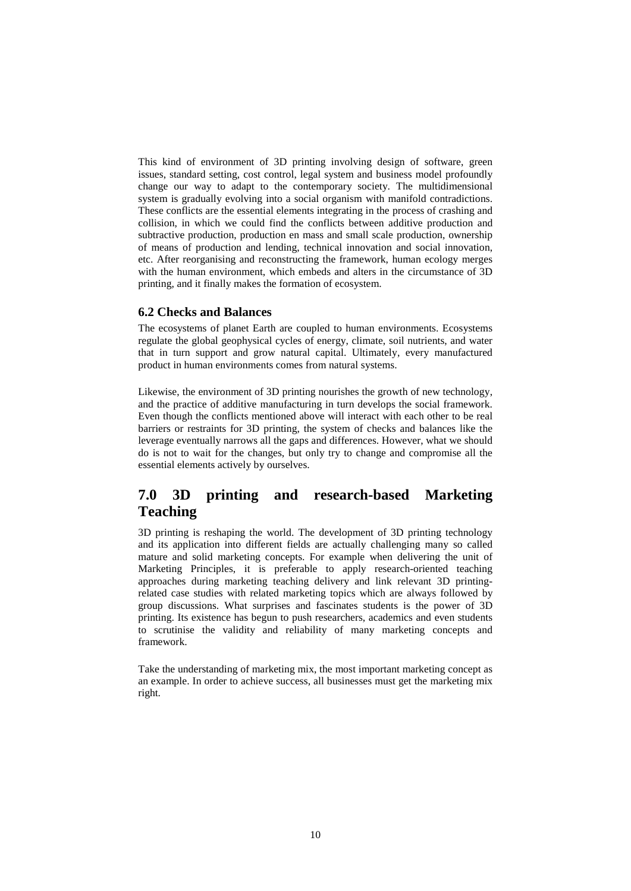This kind of environment of 3D printing involving design of software, green issues, standard setting, cost control, legal system and business model profoundly change our way to adapt to the contemporary society. The multidimensional system is gradually evolving into a social organism with manifold contradictions. These conflicts are the essential elements integrating in the process of crashing and collision, in which we could find the conflicts between additive production and subtractive production, production en mass and small scale production, ownership of means of production and lending, technical innovation and social innovation, etc. After reorganising and reconstructing the framework, human ecology merges with the human environment, which embeds and alters in the circumstance of 3D printing, and it finally makes the formation of ecosystem.

## **6.2 Checks and Balances**

The ecosystems of planet Earth are coupled to human environments. Ecosystems regulate the global geophysical cycles of energy, climate, soil nutrients, and water that in turn support and grow natural capital. Ultimately, every manufactured product in human environments comes from natural systems.

Likewise, the environment of 3D printing nourishes the growth of new technology, and the practice of additive manufacturing in turn develops the social framework. Even though the conflicts mentioned above will interact with each other to be real barriers or restraints for 3D printing, the system of checks and balances like the leverage eventually narrows all the gaps and differences. However, what we should do is not to wait for the changes, but only try to change and compromise all the essential elements actively by ourselves.

# **7.0 3D printing and research-based Marketing Teaching**

3D printing is reshaping the world. The development of 3D printing technology and its application into different fields are actually challenging many so called mature and solid marketing concepts. For example when delivering the unit of Marketing Principles, it is preferable to apply research-oriented teaching approaches during marketing teaching delivery and link relevant 3D printingrelated case studies with related marketing topics which are always followed by group discussions. What surprises and fascinates students is the power of 3D printing. Its existence has begun to push researchers, academics and even students to scrutinise the validity and reliability of many marketing concepts and framework.

Take the understanding of marketing mix, the most important marketing concept as an example. In order to achieve success, all businesses must get the marketing mix right.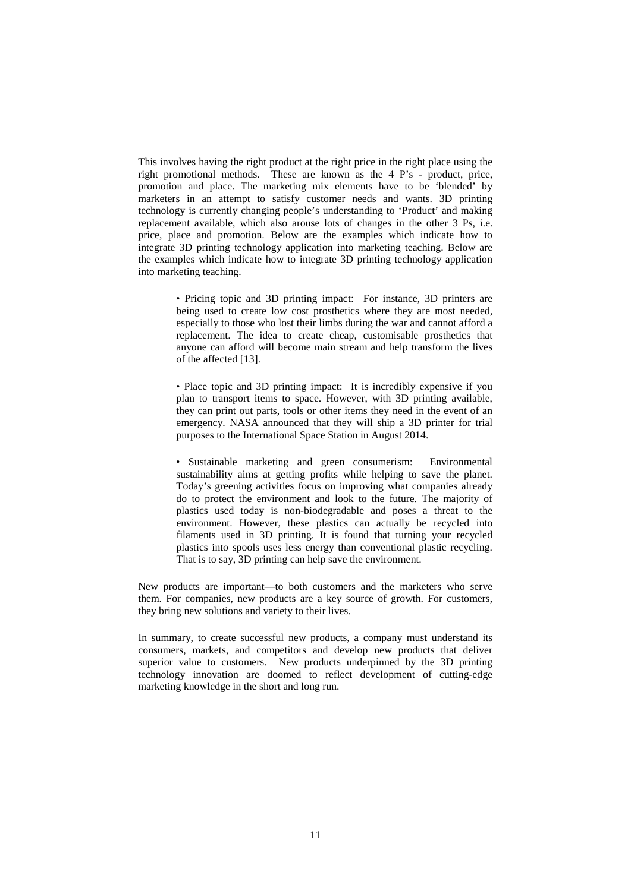This involves having the right product at the right price in the right place using the right promotional methods. These are known as the 4 P's - product, price, promotion and place. The marketing mix elements have to be 'blended' by marketers in an attempt to satisfy customer needs and wants. 3D printing technology is currently changing people's understanding to 'Product' and making replacement available, which also arouse lots of changes in the other 3 Ps, i.e. price, place and promotion. Below are the examples which indicate how to integrate 3D printing technology application into marketing teaching. Below are the examples which indicate how to integrate 3D printing technology application into marketing teaching.

> • Pricing topic and 3D printing impact: For instance, 3D printers are being used to create low cost prosthetics where they are most needed, especially to those who lost their limbs during the war and cannot afford a replacement. The idea to create cheap, customisable prosthetics that anyone can afford will become main stream and help transform the lives of the affected [13].

> • Place topic and 3D printing impact: It is incredibly expensive if you plan to transport items to space. However, with 3D printing available, they can print out parts, tools or other items they need in the event of an emergency. NASA announced that they will ship a 3D printer for trial purposes to the International Space Station in August 2014.

> • Sustainable marketing and green consumerism: Environmental sustainability aims at getting profits while helping to save the planet. Today's greening activities focus on improving what companies already do to protect the environment and look to the future. The majority of plastics used today is non-biodegradable and poses a threat to the environment. However, these plastics can actually be recycled into filaments used in 3D printing. It is found that turning your recycled plastics into spools uses less energy than conventional plastic recycling. That is to say, 3D printing can help save the environment.

New products are important—to both customers and the marketers who serve them. For companies, new products are a key source of growth. For customers, they bring new solutions and variety to their lives.

In summary, to create successful new products, a company must understand its consumers, markets, and competitors and develop new products that deliver superior value to customers. New products underpinned by the 3D printing technology innovation are doomed to reflect development of cutting-edge marketing knowledge in the short and long run.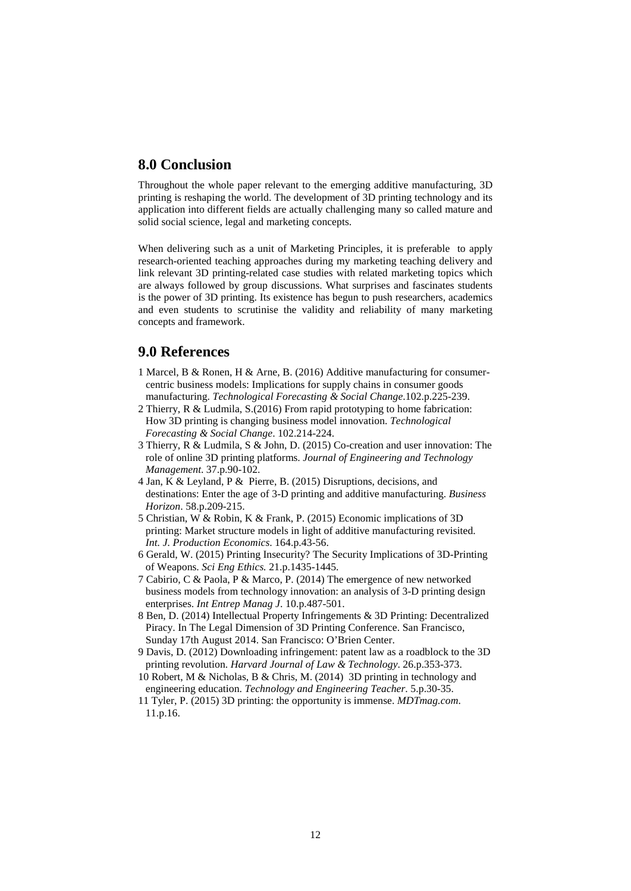# **8.0 Conclusion**

Throughout the whole paper relevant to the emerging additive manufacturing, 3D printing is reshaping the world. The development of 3D printing technology and its application into different fields are actually challenging many so called mature and solid social science, legal and marketing concepts.

When delivering such as a unit of Marketing Principles, it is preferable to apply research-oriented teaching approaches during my marketing teaching delivery and link relevant 3D printing-related case studies with related marketing topics which are always followed by group discussions. What surprises and fascinates students is the power of 3D printing. Its existence has begun to push researchers, academics and even students to scrutinise the validity and reliability of many marketing concepts and framework.

# **9.0 References**

- 1 Marcel, B & Ronen, H & Arne, B. (2016) Additive manufacturing for consumercentric business models: Implications for supply chains in consumer goods manufacturing. *Technological Forecasting & Social Change*.102.p.225-239.
- 2 Thierry, R & Ludmila, S.(2016) From rapid prototyping to home fabrication: How 3D printing is changing business model innovation. *Technological Forecasting & Social Change*. 102.214-224.
- 3 Thierry, R & Ludmila, S & John, D. (2015) Co-creation and user innovation: The role of online 3D printing platforms. *Journal of Engineering and Technology Management*. 37.p.90-102.
- 4 Jan, K & Leyland, P & Pierre, B. (2015) Disruptions, decisions, and destinations: Enter the age of 3-D printing and additive manufacturing. *Business Horizon*. 58.p.209-215.
- 5 Christian, W & Robin, K & Frank, P. (2015) Economic implications of 3D printing: Market structure models in light of additive manufacturing revisited. *Int. J. Production Economics*. 164.p.43-56.
- 6 Gerald, W. (2015) Printing Insecurity? The Security Implications of 3D-Printing of Weapons. *Sci Eng Ethics.* 21.p.1435-1445.
- 7 Cabirio, C & Paola, P & Marco, P. (2014) The emergence of new networked business models from technology innovation: an analysis of 3-D printing design enterprises. *Int Entrep Manag J*. 10.p.487-501.
- 8 Ben, D. (2014) Intellectual Property Infringements & 3D Printing: Decentralized Piracy. In The Legal Dimension of 3D Printing Conference. San Francisco, Sunday 17th August 2014. San Francisco: O'Brien Center.
- 9 Davis, D. (2012) Downloading infringement: patent law as a roadblock to the 3D printing revolution. *Harvard Journal of Law & Technology*. 26.p.353-373.
- 10 Robert, M & Nicholas, B & Chris, M. (2014) 3D printing in technology and engineering education. *Technology and Engineering Teacher*. 5.p.30-35.
- 11 Tyler, P. (2015) 3D printing: the opportunity is immense. *MDTmag.com*. 11.p.16.